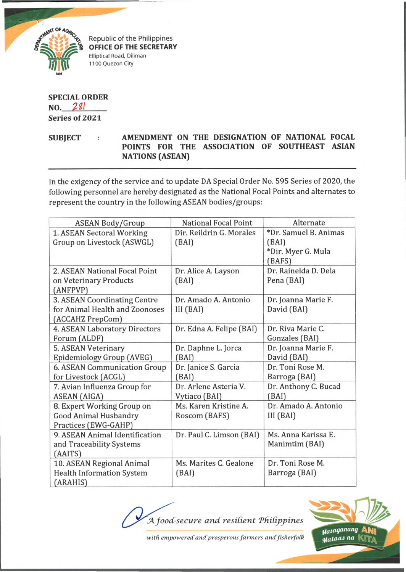

Republic of the Philippines **OFFICE OF THE SECRETARY** Elliptical Road, Diliman 1100 Quezon City

## **SPECIAL ORDER NO. 2?/ Series of 2021**

SUBJECT : AMENDMENT ON THE DESIGNATION OF NATIONAL FOCAL **POINTS FOR THE ASSOCIATION OF SOUTHEAST ASIAN NATIONS (ASEAN)**

In the exigency of the service and to update DA Special Order No. 595 Series of 2020, the following personnel are hereby designated as the National Focal Points and alternates to represent the country in the following ASEAN bodies/groups:

| <b>ASEAN Body/Group</b>          | <b>National Focal Point</b> | Alternate             |
|----------------------------------|-----------------------------|-----------------------|
| 1. ASEAN Sectoral Working        | Dir. Reildrin G. Morales    | *Dr. Samuel B. Animas |
| Group on Livestock (ASWGL)       | (BAI)                       | (BAI)                 |
|                                  |                             | *Dir. Myer G. Mula    |
|                                  |                             | (BAFS)                |
| 2. ASEAN National Focal Point    | Dr. Alice A. Layson         | Dr. Rainelda D. Dela  |
| on Veterinary Products           | (BAI)                       | Pena (BAI)            |
| (ANFPVP)                         |                             |                       |
| 3. ASEAN Coordinating Centre     | Dr. Amado A. Antonio        | Dr. Joanna Marie F.   |
| for Animal Health and Zoonoses   | III(BAI)                    | David (BAI)           |
| (ACCAHZ PrepCom)                 |                             |                       |
| 4. ASEAN Laboratory Directors    | Dr. Edna A. Felipe (BAI)    | Dr. Riva Marie C.     |
| Forum (ALDF)                     |                             | Gonzales (BAI)        |
| 5. ASEAN Veterinary              | Dr. Daphne L. Jorca         | Dr. Joanna Marie F.   |
| Epidemiology Group (AVEG)        | (BAI)                       | David (BAI)           |
| 6. ASEAN Communication Group     | Dr. Janice S. Garcia        | Dr. Toni Rose M.      |
| for Livestock (ACGL)             | (BAI)                       | Barroga (BAI)         |
| 7. Avian Influenza Group for     | Dr. Arlene Asteria V.       | Dr. Anthony C. Bucad  |
| <b>ASEAN (AIGA)</b>              | Vytiaco (BAI)               | (BAI)                 |
| 8. Expert Working Group on       | Ms. Karen Kristine A.       | Dr. Amado A. Antonio  |
| Good Animal Husbandry            | Roscom (BAFS)               | III(BAI)              |
| Practices (EWG-GAHP)             |                             |                       |
| 9. ASEAN Animal Identification   | Dr. Paul C. Limson (BAI)    | Ms. Anna Karissa E.   |
| and Traceability Systems         |                             | Manimtim (BAI)        |
| (AAITS)                          |                             |                       |
| 10. ASEAN Regional Animal        | Ms. Marites C. Gealone      | Dr. Toni Rose M.      |
| <b>Health Information System</b> | (BAI)                       | Barroga (BAI)         |
| (ARAHIS)                         |                             |                       |

A food-secure and resilient Philippines



with empowered and prosperous farmers and fisherfolk